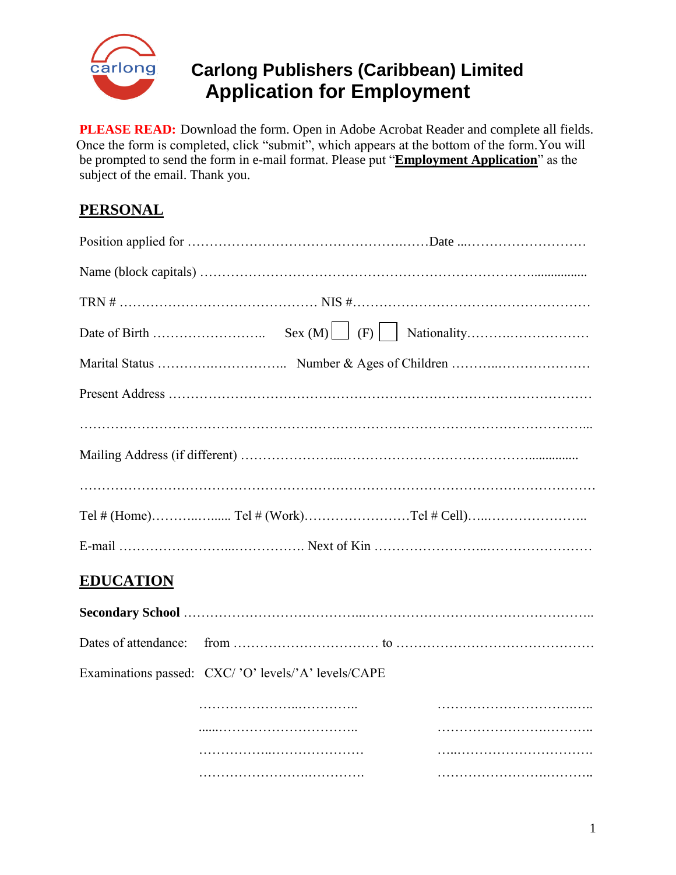

# **Carlong Publishers (Caribbean) Limited Application for Employment**

**PLEASE READ:** Download the form. Open in Adobe Acrobat Reader and complete all fields. Once the form is completed, click "submit", which appears at the bottom of the form. You will be prompted to send the form in e-mail format. Please put "**Employment Application**" as the subject of the email. Thank you.

## **PERSONAL**

| <b>EDUCATION</b>                                    |  |  |
|-----------------------------------------------------|--|--|
|                                                     |  |  |
|                                                     |  |  |
| Examinations passed: CXC/'O' levels/'A' levels/CAPE |  |  |
|                                                     |  |  |
|                                                     |  |  |
|                                                     |  |  |
|                                                     |  |  |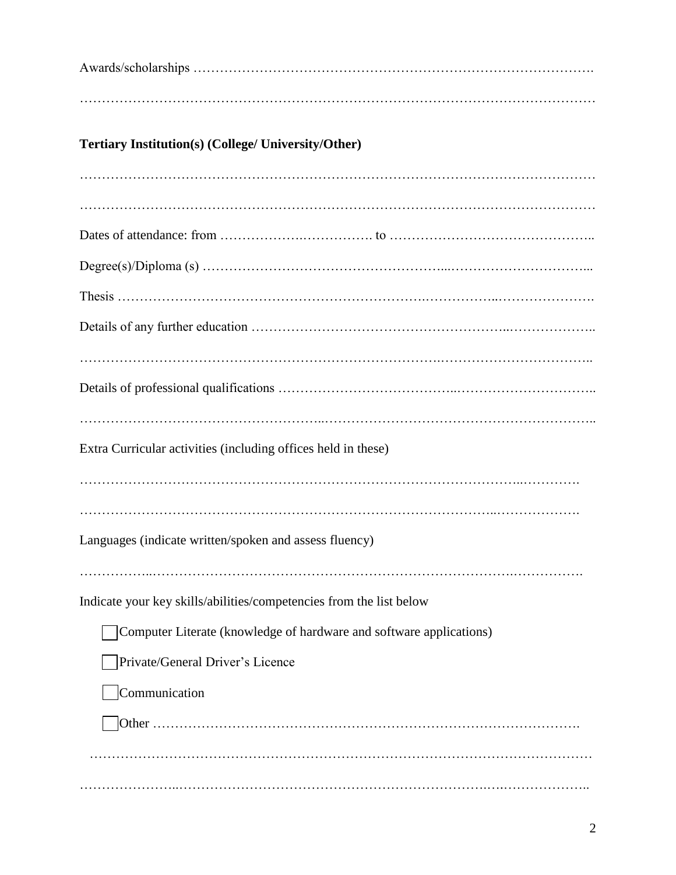Awards/scholarships ………………………………………………………………………………. ……………………………………………………………………………………………………… **Tertiary Institution(s) (College/ University/Other)** ……………………………………………………………………………………………………… ……………………………………………………………………………………………………… Dates of attendance: from ……………….……………. to ……………………………………….. Degree(s)/Diploma (s) ………………………………………………...…………………………... Thesis …………………………………………………………….……………..…………………. Details of any further education …………………………………………………..……………….. ……………………………………………………………………….…………………………….. Details of professional qualifications …………………………………..………………………….. ………………………………………………..…………………………………………………….. Extra Curricular activities (including offices held in these) ………………………………………………………………………………………..…………. …………………………………………………………………………………..………………. Languages (indicate written/spoken and assess fluency) ……………..……………………………………………………………………….……………. Indicate your key skills/abilities/competencies from the list below Computer Literate (knowledge of hardware and software applications) Private/General Driver's Licence **Communication** Other ……………………………………………………………………………………. …………………………………………………………………………………………………… …………………..…………………………………………………………….….………………..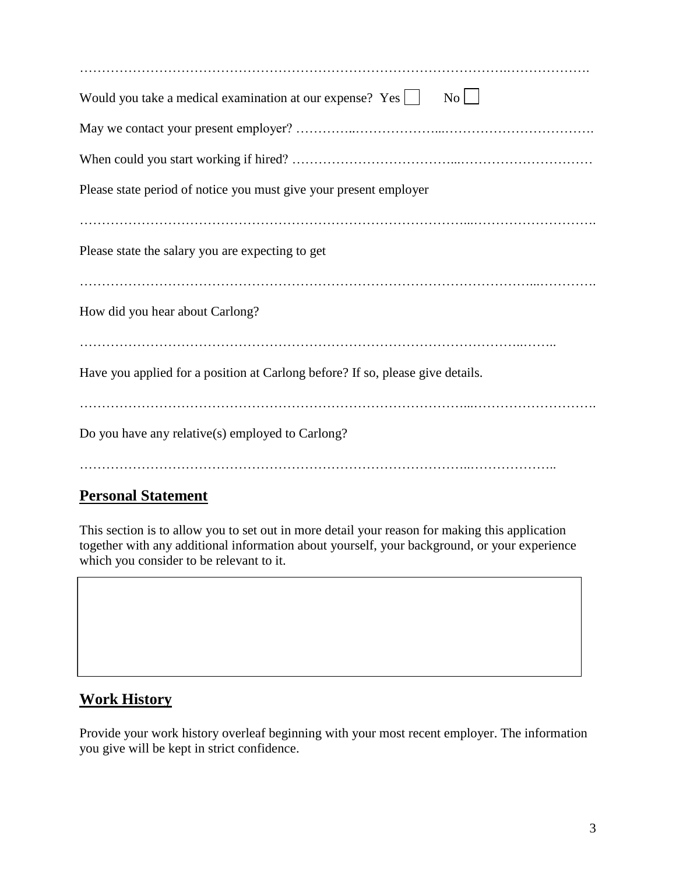| $\overline{N_{O}}$<br>Would you take a medical examination at our expense? Yes $\Box$ |  |  |  |  |
|---------------------------------------------------------------------------------------|--|--|--|--|
|                                                                                       |  |  |  |  |
|                                                                                       |  |  |  |  |
| Please state period of notice you must give your present employer                     |  |  |  |  |
|                                                                                       |  |  |  |  |
| Please state the salary you are expecting to get                                      |  |  |  |  |
|                                                                                       |  |  |  |  |
| How did you hear about Carlong?                                                       |  |  |  |  |
|                                                                                       |  |  |  |  |
| Have you applied for a position at Carlong before? If so, please give details.        |  |  |  |  |
|                                                                                       |  |  |  |  |
| Do you have any relative(s) employed to Carlong?                                      |  |  |  |  |
|                                                                                       |  |  |  |  |

### **Personal Statement**

This section is to allow you to set out in more detail your reason for making this application together with any additional information about yourself, your background, or your experience which you consider to be relevant to it.

#### **Work History**

Provide your work history overleaf beginning with your most recent employer. The information you give will be kept in strict confidence.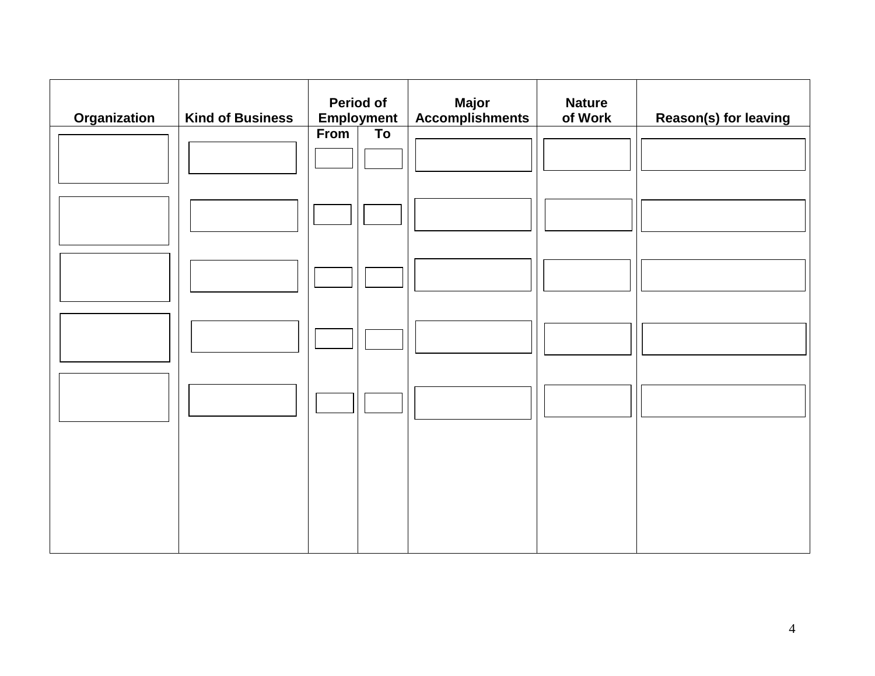| <b>Organization</b> | <b>Kind of Business</b> | <b>Period of</b><br><b>Employment</b> |                 | <b>Major</b><br><b>Accomplishments</b> | <b>Nature</b><br>of Work | Reason(s) for leaving |
|---------------------|-------------------------|---------------------------------------|-----------------|----------------------------------------|--------------------------|-----------------------|
|                     |                         | From                                  | $\overline{To}$ |                                        |                          |                       |
|                     |                         |                                       |                 |                                        |                          |                       |
|                     |                         |                                       |                 |                                        |                          |                       |
|                     |                         |                                       |                 |                                        |                          |                       |
|                     |                         |                                       |                 |                                        |                          |                       |
|                     |                         |                                       |                 |                                        |                          |                       |
|                     |                         |                                       |                 |                                        |                          |                       |
|                     |                         |                                       |                 |                                        |                          |                       |